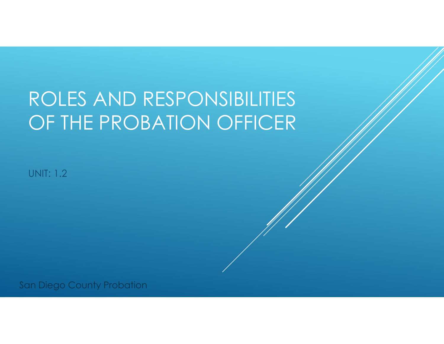# ROLES AND RESPONSIBILITIES OF THE PROBATION OFFICER

UNIT: 1.2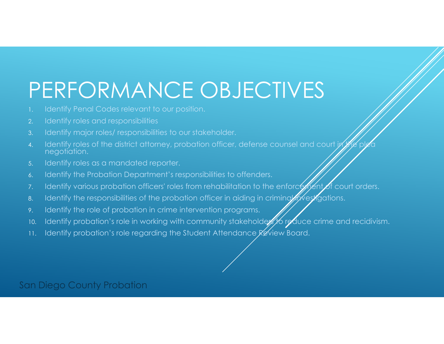# PERFORMANCE OBJECTIVES

- Identify Penal Codes relevant to our position.
- 2.Identify roles and responsibilities
- 3.Identify major roles/ responsibilities to our stakeholder.
- 4.Identify roles of the district attorney, probation officer, defense counsel and court in negotiation.
- 5.Identify roles as a mandated reporter.
- 6.Identify the Probation Department's responsibilities to offenders.
- Identify various probation officers' roles from rehabilitation to the enforce nent of court orders.
- 8.Identify the responsibilities of the probation officer in aiding in criminal investigations.
- 9.Identify the role of probation in crime intervention programs.
- 10.Identify probation's role in working with community stakeholders to reduce crime and recidivism.
- 11.Identify probation's role regarding the Student Attendance Review Board.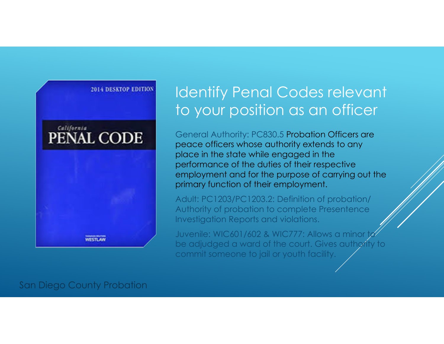

### Identify Penal Codes relevant to your position as an officer

General Authority: PC830.5 Probation Officers are peace officers whose authority extends to any place in the state while engaged in the performance of the duties of their respective employment and for the purpose of carrying out the primary function of their employment.

Adult: PC1203/PC1203.2: Definition of probation/ Authority of probation to complete Presentence Investigation Reports and violations.

Juvenile: WIC601/602 & WIC777: Allows a minor to be adjudged a ward of the court. Gives authority to commit someone to jail or youth facility.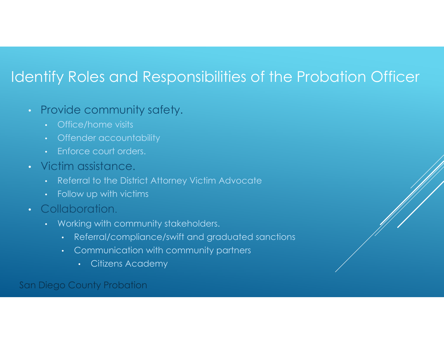### Identify Roles and Responsibilities of the Probation Officer

#### • Provide community safety.

- Office/home visits
- Offender accountability
- Enforce court orders.
- Victim assistance.
	- Referral to the District Attorney Victim Advocate
	- Follow up with victims
- Collaboration.
	- Working with community stakeholders.
		- Referral/compliance/swift and graduated sanctions
		- Communication with community partners
			- Citizens Academy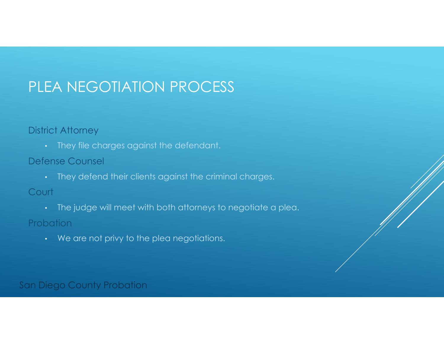### PLEA NEGOTIATION PROCESS

#### District Attorney

• They file charges against the defendant.

#### Defense Counsel

• They defend their clients against the criminal charges.

#### **Court**

• The judge will meet with both attorneys to negotiate a plea.

#### **Probation**

• We are not privy to the plea negotiations.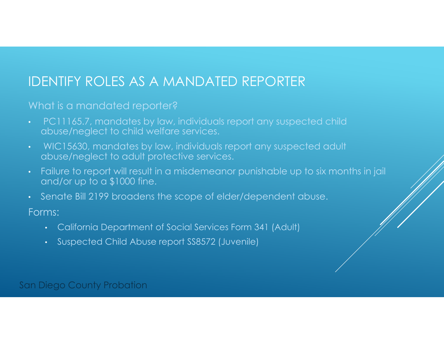### IDENTIFY ROLES AS A MANDATED REPORTER

What is a mandated reporter?

- PC11165.7, mandates by law, individuals report any suspected child abuse/neglect to child welfare services.
- WIC15630, mandates by law, individuals report any suspected adult abuse/neglect to adult protective services.
- Failure to report will result in a misdemeanor punishable up to six months in jail and/or up to a \$1000 fine.
- Senate Bill 2199 broadens the scope of elder/dependent abuse.

Forms:

- California Department of Social Services Form 341 (Adult)
- Suspected Child Abuse report SS8572 (Juvenile)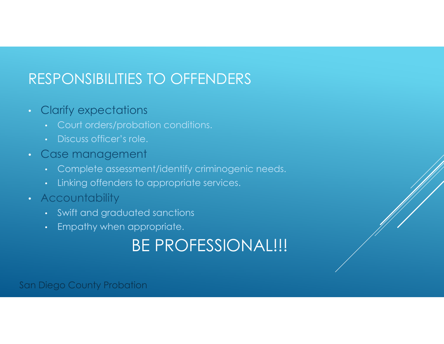### RESPONSIBILITIES TO OFFENDERS

- Clarify expectations
	- Court orders/probation conditions.
	- Discuss officer's role.
- Case management
	- Complete assessment/identify criminogenic needs.
	- Linking offenders to appropriate services.
- Accountability
	- Swift and graduated sanctions
	- Empathy when appropriate.

# BE PROFESSIONAL!!!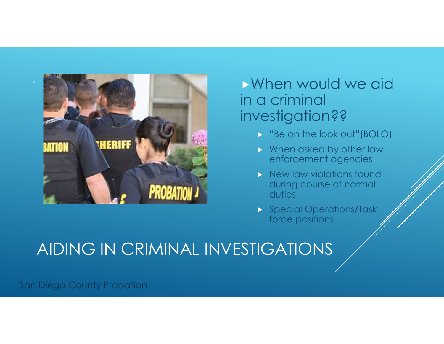

### When would we aid in a criminal investigation??

- **Be on the look out"(BOLO)**
- **Notal Milkel by other law** enforcement agencies
- $\triangleright$  New law violations found during course of normal duties.
- **Special Operations/Task** force positions.

## AIDING IN CRIMINAL INVESTIGATIONS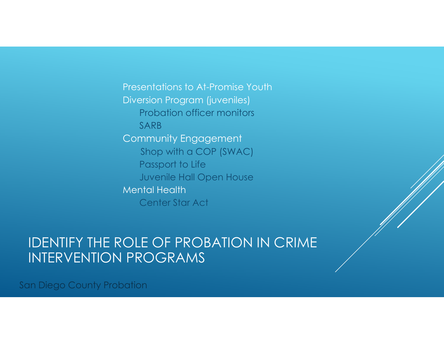Presentations to At-Promise YouthDiversion Program (juveniles) Probation officer monitorsSARBCommunity Engagement Shop with a COP (SWAC) Passport to Life Juvenile Hall Open House Mental Health Center Star Act

### IDENTIFY THE ROLE OF PROBATION IN CRIME INTERVENTION PROGRAMS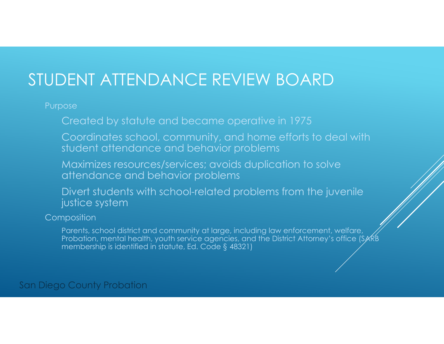## STUDENT ATTENDANCE REVIEW BOARD

#### Purpose

Created by statute and became operative in 1975

Coordinates school, community, and home efforts to deal with student attendance and behavior problems

Maximizes resources/services; avoids duplication to solve attendance and behavior problems

Divert students with school-related problems from the juvenile justice system

**Composition** 

Parents, school district and community at large, including law enforcement, welfare, Probation, mental health, youth service agencies, and the District Attorney's office (SARB) membership is identified in statute, Ed. Code § 48321)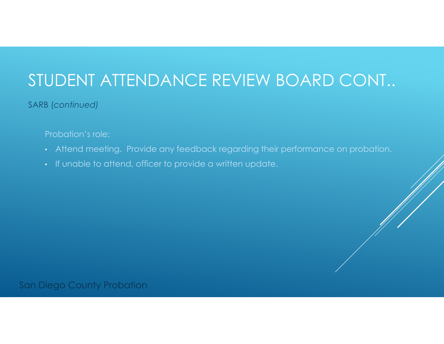## STUDENT ATTENDANCE REVIEW BOARD CONT..

#### SARB (*continued)*

Probation's role:

- Attend meeting. Provide any feedback regarding their performance on probation.
- If unable to attend, officer to provide a written update.